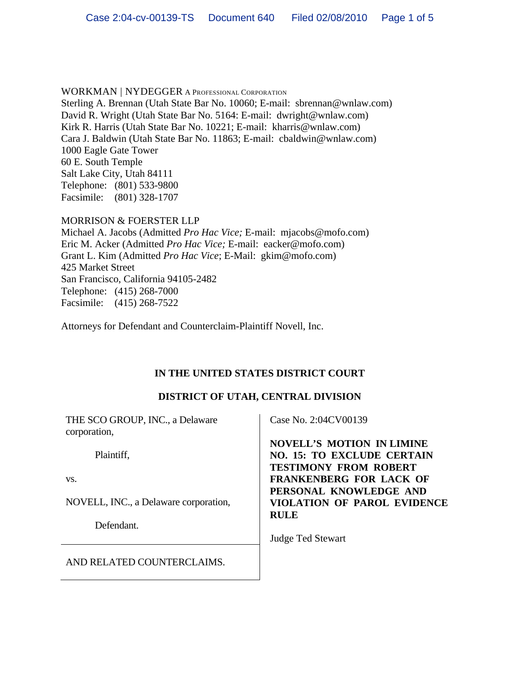WORKMAN | NYDEGGER A PROFESSIONAL CORPORATION Sterling A. Brennan (Utah State Bar No. 10060; E-mail: sbrennan@wnlaw.com) David R. Wright (Utah State Bar No. 5164: E-mail: dwright@wnlaw.com) Kirk R. Harris (Utah State Bar No. 10221; E-mail: kharris@wnlaw.com) Cara J. Baldwin (Utah State Bar No. 11863; E-mail: cbaldwin@wnlaw.com) 1000 Eagle Gate Tower 60 E. South Temple Salt Lake City, Utah 84111 Telephone: (801) 533-9800 Facsimile: (801) 328-1707

### MORRISON & FOERSTER LLP

Michael A. Jacobs (Admitted *Pro Hac Vice;* E-mail: mjacobs@mofo.com) Eric M. Acker (Admitted *Pro Hac Vice;* E-mail: eacker@mofo.com) Grant L. Kim (Admitted *Pro Hac Vice*; E-Mail: gkim@mofo.com) 425 Market Street San Francisco, California 94105-2482 Telephone: (415) 268-7000 Facsimile: (415) 268-7522

Attorneys for Defendant and Counterclaim-Plaintiff Novell, Inc.

# **IN THE UNITED STATES DISTRICT COURT**

# **DISTRICT OF UTAH, CENTRAL DIVISION**

| THE SCO GROUP, INC., a Delaware<br>corporation, | Case No. 2:04CV00139                                                                                  |
|-------------------------------------------------|-------------------------------------------------------------------------------------------------------|
| Plaintiff,                                      | <b>NOVELL'S MOTION IN LIMINE</b><br><b>NO. 15: TO EXCLUDE CERTAIN</b><br><b>TESTIMONY FROM ROBERT</b> |
| VS.                                             | <b>FRANKENBERG FOR LACK OF</b>                                                                        |
| NOVELL, INC., a Delaware corporation,           | PERSONAL KNOWLEDGE AND<br>VIOLATION OF PAROL EVIDENCE<br><b>RULE</b>                                  |
| Defendant.                                      |                                                                                                       |
|                                                 | <b>Judge Ted Stewart</b>                                                                              |
| AND RELATED COUNTERCLAIMS.                      |                                                                                                       |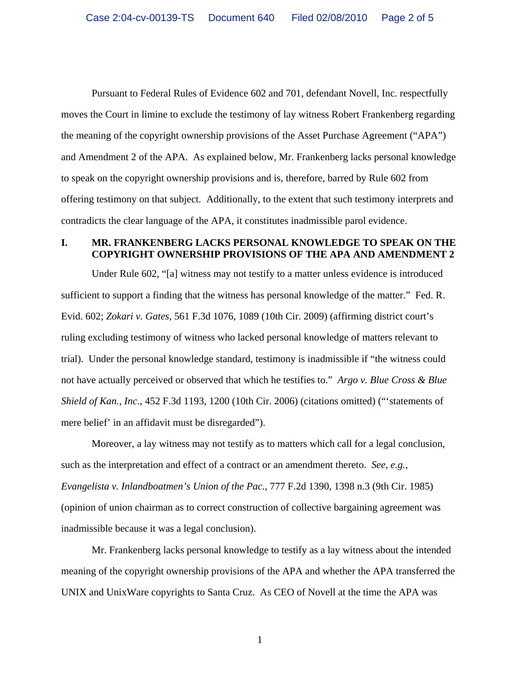Pursuant to Federal Rules of Evidence 602 and 701, defendant Novell, Inc. respectfully moves the Court in limine to exclude the testimony of lay witness Robert Frankenberg regarding the meaning of the copyright ownership provisions of the Asset Purchase Agreement ("APA") and Amendment 2 of the APA. As explained below, Mr. Frankenberg lacks personal knowledge to speak on the copyright ownership provisions and is, therefore, barred by Rule 602 from offering testimony on that subject. Additionally, to the extent that such testimony interprets and contradicts the clear language of the APA, it constitutes inadmissible parol evidence.

### **I. MR. FRANKENBERG LACKS PERSONAL KNOWLEDGE TO SPEAK ON THE COPYRIGHT OWNERSHIP PROVISIONS OF THE APA AND AMENDMENT 2**

Under Rule 602, "[a] witness may not testify to a matter unless evidence is introduced sufficient to support a finding that the witness has personal knowledge of the matter." Fed. R. Evid. 602; *Zokari v. Gates*, 561 F.3d 1076, 1089 (10th Cir. 2009) (affirming district court's ruling excluding testimony of witness who lacked personal knowledge of matters relevant to trial). Under the personal knowledge standard, testimony is inadmissible if "the witness could not have actually perceived or observed that which he testifies to." *Argo v. Blue Cross & Blue Shield of Kan., Inc.*, 452 F.3d 1193, 1200 (10th Cir. 2006) (citations omitted) ("'statements of mere belief' in an affidavit must be disregarded").

Moreover, a lay witness may not testify as to matters which call for a legal conclusion, such as the interpretation and effect of a contract or an amendment thereto. *See, e.g., Evangelista v. Inlandboatmen's Union of the Pac.*, 777 F.2d 1390, 1398 n.3 (9th Cir. 1985) (opinion of union chairman as to correct construction of collective bargaining agreement was inadmissible because it was a legal conclusion).

Mr. Frankenberg lacks personal knowledge to testify as a lay witness about the intended meaning of the copyright ownership provisions of the APA and whether the APA transferred the UNIX and UnixWare copyrights to Santa Cruz. As CEO of Novell at the time the APA was

1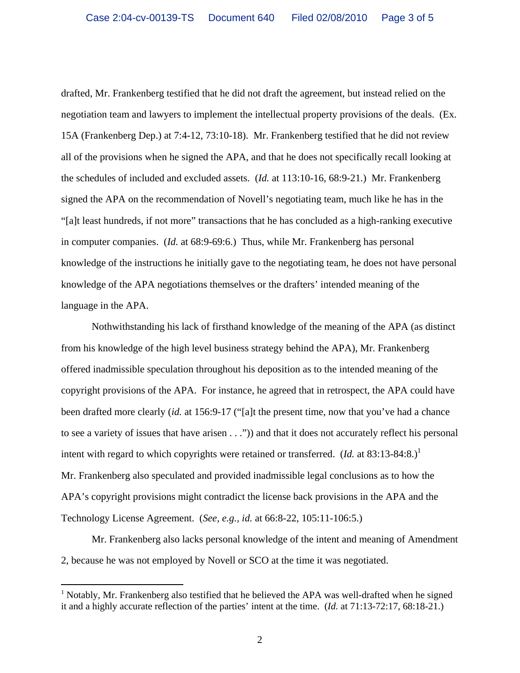drafted, Mr. Frankenberg testified that he did not draft the agreement, but instead relied on the negotiation team and lawyers to implement the intellectual property provisions of the deals. (Ex. 15A (Frankenberg Dep.) at 7:4-12, 73:10-18). Mr. Frankenberg testified that he did not review all of the provisions when he signed the APA, and that he does not specifically recall looking at the schedules of included and excluded assets. (*Id.* at 113:10-16, 68:9-21.) Mr. Frankenberg signed the APA on the recommendation of Novell's negotiating team, much like he has in the "[a]t least hundreds, if not more" transactions that he has concluded as a high-ranking executive in computer companies. (*Id.* at 68:9-69:6.) Thus, while Mr. Frankenberg has personal knowledge of the instructions he initially gave to the negotiating team, he does not have personal knowledge of the APA negotiations themselves or the drafters' intended meaning of the language in the APA.

Nothwithstanding his lack of firsthand knowledge of the meaning of the APA (as distinct from his knowledge of the high level business strategy behind the APA), Mr. Frankenberg offered inadmissible speculation throughout his deposition as to the intended meaning of the copyright provisions of the APA. For instance, he agreed that in retrospect, the APA could have been drafted more clearly (*id.* at 156:9-17 ("[a]t the present time, now that you've had a chance to see a variety of issues that have arisen . . .")) and that it does not accurately reflect his personal intent with regard to which copyrights were retained or transferred.  $(Id.$  at 83:13-84:8.)<sup>1</sup> Mr. Frankenberg also speculated and provided inadmissible legal conclusions as to how the APA's copyright provisions might contradict the license back provisions in the APA and the Technology License Agreement. (*See, e.g., id.* at 66:8-22, 105:11-106:5.)

Mr. Frankenberg also lacks personal knowledge of the intent and meaning of Amendment 2, because he was not employed by Novell or SCO at the time it was negotiated.

 $\overline{a}$ 

 $1$  Notably, Mr. Frankenberg also testified that he believed the APA was well-drafted when he signed it and a highly accurate reflection of the parties' intent at the time. (*Id.* at 71:13-72:17, 68:18-21.)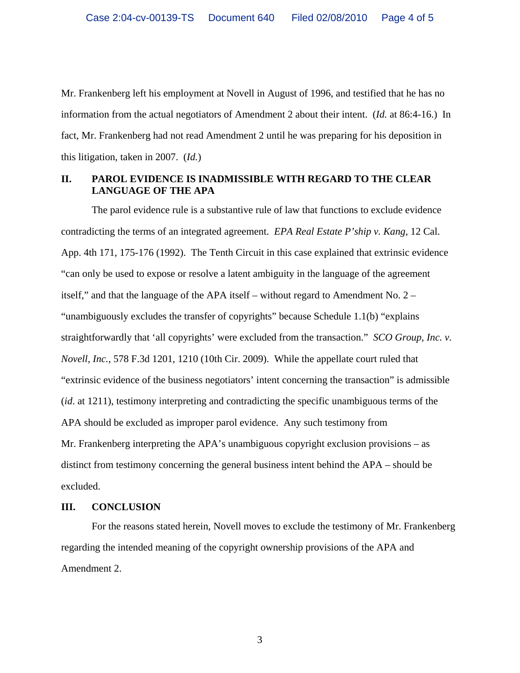Mr. Frankenberg left his employment at Novell in August of 1996, and testified that he has no information from the actual negotiators of Amendment 2 about their intent. (*Id.* at 86:4-16.) In fact, Mr. Frankenberg had not read Amendment 2 until he was preparing for his deposition in this litigation, taken in 2007. (*Id.*)

### **II. PAROL EVIDENCE IS INADMISSIBLE WITH REGARD TO THE CLEAR LANGUAGE OF THE APA**

The parol evidence rule is a substantive rule of law that functions to exclude evidence contradicting the terms of an integrated agreement. *EPA Real Estate P'ship v. Kang*, 12 Cal. App. 4th 171, 175-176 (1992). The Tenth Circuit in this case explained that extrinsic evidence "can only be used to expose or resolve a latent ambiguity in the language of the agreement itself," and that the language of the APA itself – without regard to Amendment No. 2 – "unambiguously excludes the transfer of copyrights" because Schedule 1.1(b) "explains straightforwardly that 'all copyrights' were excluded from the transaction." *SCO Group, Inc. v. Novell, Inc.*, 578 F.3d 1201, 1210 (10th Cir. 2009). While the appellate court ruled that "extrinsic evidence of the business negotiators' intent concerning the transaction" is admissible (*id*. at 1211), testimony interpreting and contradicting the specific unambiguous terms of the APA should be excluded as improper parol evidence. Any such testimony from Mr. Frankenberg interpreting the APA's unambiguous copyright exclusion provisions – as distinct from testimony concerning the general business intent behind the APA – should be excluded.

#### **III. CONCLUSION**

For the reasons stated herein, Novell moves to exclude the testimony of Mr. Frankenberg regarding the intended meaning of the copyright ownership provisions of the APA and Amendment 2.

3